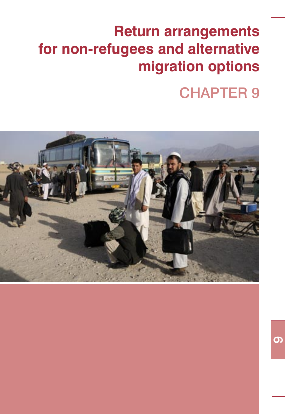# **Return arrangements for non-refugees and alternative migration options**

# CHAPTER 9

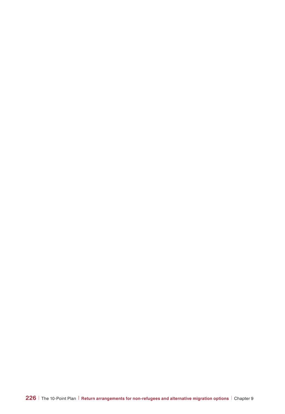226 | The 10-Point Plan | Return arrangements for non-refugees and alternative migration options | Chapter 9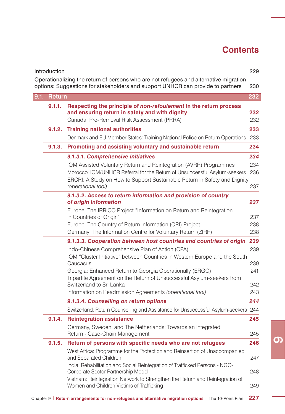# **Contents**

| Introduction |                                                                                                                                                                          |                                                                                                                                                                                                                                                                                         |                          |  |
|--------------|--------------------------------------------------------------------------------------------------------------------------------------------------------------------------|-----------------------------------------------------------------------------------------------------------------------------------------------------------------------------------------------------------------------------------------------------------------------------------------|--------------------------|--|
|              | Operationalizing the return of persons who are not refugees and alternative migration<br>options: Suggestions for stakeholders and support UNHCR can provide to partners |                                                                                                                                                                                                                                                                                         |                          |  |
|              | 9.1. Return                                                                                                                                                              |                                                                                                                                                                                                                                                                                         | 232                      |  |
|              | 9.1.1.                                                                                                                                                                   | Respecting the principle of non-refoulement in the return process<br>and ensuring return in safety and with dignity<br>Canada: Pre-Removal Risk Assessment (PRRA)                                                                                                                       | 232<br>232               |  |
|              | 9.1.2.                                                                                                                                                                   | <b>Training national authorities</b><br>Denmark and EU Member States: Training National Police on Return Operations 233                                                                                                                                                                 | 233                      |  |
|              | 9.1.3.                                                                                                                                                                   | Promoting and assisting voluntary and sustainable return                                                                                                                                                                                                                                | 234                      |  |
|              |                                                                                                                                                                          | 9.1.3.1. Comprehensive initiatives<br>IOM Assisted Voluntary Return and Reintegration (AVRR) Programmes<br>Morocco: IOM/UNHCR Referral for the Return of Unsuccessful Asylum-seekers<br>ERCRI: A Study on How to Support Sustainable Return in Safety and Dignity<br>(operational tool) | 234<br>234<br>236<br>237 |  |
|              |                                                                                                                                                                          | 9.1.3.2. Access to return information and provision of country<br>of origin information                                                                                                                                                                                                 | 237                      |  |
|              |                                                                                                                                                                          | Europe: The IRRICO Project "Information on Return and Reintegration<br>in Countries of Origin"<br>Europe: The Country of Return Information (CRI) Project<br>Germany: The Information Centre for Voluntary Return (ZIRF)                                                                | 237<br>238<br>238        |  |
|              |                                                                                                                                                                          | 9.1.3.3. Cooperation between host countries and countries of origin 239                                                                                                                                                                                                                 |                          |  |
|              |                                                                                                                                                                          | Indo-Chinese Comprehensive Plan of Action (CPA)<br>IOM "Cluster Initiative" between Countries in Western Europe and the South<br>Caucasus                                                                                                                                               | 239<br>239               |  |
|              |                                                                                                                                                                          | Georgia: Enhanced Return to Georgia Operationally (ERGO)<br>Tripartite Agreement on the Return of Unsuccessful Asylum-seekers from<br>Switzerland to Sri Lanka<br>Information on Readmission Agreements (operational tool)                                                              | 241<br>242<br>243        |  |
|              |                                                                                                                                                                          | 9.1.3.4. Counselling on return options                                                                                                                                                                                                                                                  | 244                      |  |
|              |                                                                                                                                                                          | Switzerland: Return Counselling and Assistance for Unsuccessful Asylum-seekers 244                                                                                                                                                                                                      |                          |  |
|              | 9.1.4.                                                                                                                                                                   | <b>Reintegration assistance</b>                                                                                                                                                                                                                                                         | 245                      |  |
|              |                                                                                                                                                                          | Germany, Sweden, and The Netherlands: Towards an Integrated<br>Return - Case-Chain Management                                                                                                                                                                                           | 245                      |  |
|              | 9.1.5.                                                                                                                                                                   | Return of persons with specific needs who are not refugees<br>West Africa: Programme for the Protection and Reinsertion of Unaccompanied<br>and Separated Children<br>India: Rehabilitation and Social Reintegration of Trafficked Persons - NGO-                                       | 246<br>247               |  |
|              |                                                                                                                                                                          | Corporate Sector Partnership Model<br>Vietnam: Reintegration Network to Strengthen the Return and Reintegration of<br>Women and Children Victims of Trafficking                                                                                                                         | 248<br>249               |  |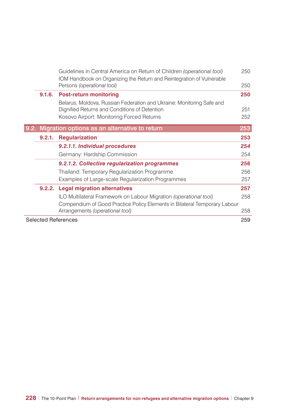|                                   | Guidelines in Central America on Return of Children (operational tool)<br>IOM Handbook on Organizing the Return and Reintegration of Vulnerable<br>Persons (operational tool) | 250<br>250 |  |
|-----------------------------------|-------------------------------------------------------------------------------------------------------------------------------------------------------------------------------|------------|--|
| 9.1.6.                            | <b>Post-return monitoring</b>                                                                                                                                                 | 250        |  |
|                                   | Belarus, Moldova, Russian Federation and Ukraine: Monitoring Safe and<br>Dignified Returns and Conditions of Detention                                                        | 251        |  |
|                                   | Kosovo Airport: Monitoring Forced Returns                                                                                                                                     | 252        |  |
|                                   | 9.2. Migration options as an alternative to return                                                                                                                            | 253        |  |
| 9.2.1.                            | <b>Regularization</b>                                                                                                                                                         | 253        |  |
|                                   | 9.2.1.1. Individual procedures                                                                                                                                                | 254        |  |
|                                   | Germany: Hardship Commission                                                                                                                                                  | 254        |  |
|                                   | 9.2.1.2. Collective regularization programmes                                                                                                                                 | 256        |  |
|                                   | Thailand: Temporary Regularization Programme                                                                                                                                  | 256        |  |
|                                   | Examples of Large-scale Regularization Programmes                                                                                                                             | 257        |  |
|                                   | 9.2.2. Legal migration alternatives                                                                                                                                           | 257        |  |
|                                   | ILO Multilateral Framework on Labour Migration (operational tool)<br>Compendium of Good Practice Policy Elements in Bilateral Temporary Labour                                | 258        |  |
|                                   | Arrangements (operational tool)                                                                                                                                               | 258        |  |
| <b>Selected References</b><br>259 |                                                                                                                                                                               |            |  |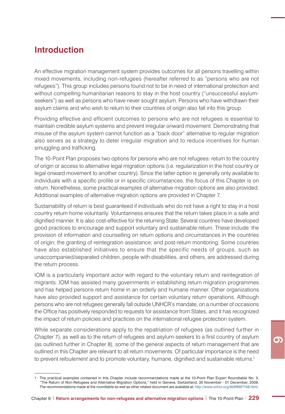# **Introduction**

An effective migration management system provides outcomes for all persons travelling within mixed movements, including non-refugees (hereafter referred to as "persons who are not refugees"). This group includes persons found not to be in need of international protection and without compelling humanitarian reasons to stay in the host country ("unsuccessful asylumseekers") as well as persons who have never sought asylum. Persons who have withdrawn their asylum claims and who wish to return to their countries of origin also fall into this group.

Providing effective and efficient outcomes to persons who are not refugees is essential to maintain credible asylum systems and prevent irregular onward movement. Demonstrating that misuse of the asylum system cannot function as a "back door" alternative to regular migration also serves as a strategy to deter irregular migration and to reduce incentives for human smuggling and trafficking.

The 10-Point Plan proposes two options for persons who are not refugees: return to the country of origin or access to alternative legal migration options (i.e. regularization in the host country or legal onward movement to another country). Since the latter option is generally only available to individuals with a specific profile or in specific circumstances, the focus of this Chapter is on return. Nonetheless, some practical examples of alternative migration options are also provided. Additional examples of alternative migration options are provided in Chapter 7.

Sustainability of return is best guaranteed if individuals who do not have a right to stay in a host country return home voluntarily. Voluntariness ensures that the return takes place in a safe and dignified manner. It is also cost-effective for the returning State. Several countries have developed good practices to encourage and support voluntary and sustainable return. These include: the provision of information and counselling on return options and circumstances in the countries of origin; the granting of reintegration assistance; and post-return monitoring. Some countries have also established initiatives to ensure that the specific needs of groups, such as unaccompanied/separated children, people with disabilities, and others, are addressed during the return process.

IOM is a particularly important actor with regard to the voluntary return and reintegration of migrants. IOM has assisted many governments in establishing return migration programmes and has helped persons return home in an orderly and humane manner. Other organizations have also provided support and assistance for certain voluntary return operations. Although persons who are not refugees generally fall outside UNHCR's mandate, on a number of occasions the Office has positively responded to requests for assistance from States, and it has recognized the impact of return policies and practices on the international refugee protection system.

While separate considerations apply to the repatriation of refugees (as outlined further in Chapter 7), as well as to the return of refugees and asylum-seekers to a first country of asylum (as outlined further in Chapter 8), some of the general aspects of return management that are outlined in this Chapter are relevant to all return movements. Of particular importance is the need to prevent *refoulement* and to promote voluntary, humane, dignified and sustainable returns.1

<sup>1</sup> The practical examples contained in this Chapter include recommendations made at the 10-Point Plan Expert Roundtable No. 3: "The Return of Non-Refugees and Alternative Migration Options," held in Geneva, Switzerland, 30 November - 01 December, 2009. The recommendations made at the roundtable as well as other related document are available at:<http://www.unhcr.org/4b9f99f7148.html>.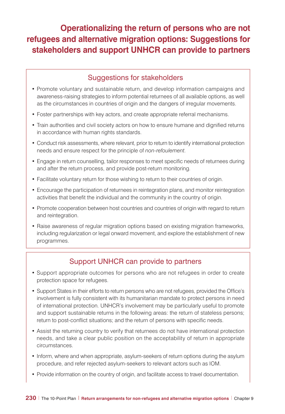# **Operationalizing the return of persons who are not refugees and alternative migration options: Suggestions for stakeholders and support UNHCR can provide to partners**

# Suggestions for stakeholders

- • Promote voluntary and sustainable return, and develop information campaigns and awareness-raising strategies to inform potential returnees of all available options, as well as the circumstances in countries of origin and the dangers of irregular movements.
- Foster partnerships with key actors, and create appropriate referral mechanisms.
- Train authorities and civil society actors on how to ensure humane and dignified returns in accordance with human rights standards.
- • Conduct risk assessments, where relevant, prior to return to identify international protection needs and ensure respect for the principle of *non-refoulement*.
- • Engage in return counselling, tailor responses to meet specific needs of returnees during and after the return process, and provide post-return monitoring.
- Facilitate voluntary return for those wishing to return to their countries of origin.
- Encourage the participation of returnees in reintegration plans, and monitor reintegration activities that benefit the individual and the community in the country of origin.
- Promote cooperation between host countries and countries of origin with regard to return and reintegration.
- Raise awareness of regular migration options based on existing migration frameworks, including regularization or legal onward movement, and explore the establishment of new programmes.

# Support UNHCR can provide to partners

- • Support appropriate outcomes for persons who are not refugees in order to create protection space for refugees.
- • Support States in their efforts to return persons who are not refugees, provided the Office's involvement is fully consistent with its humanitarian mandate to protect persons in need of international protection. UNHCR's involvement may be particularly useful to promote and support sustainable returns in the following areas: the return of stateless persons; return to post-conflict situations; and the return of persons with specific needs.
- Assist the returning country to verify that returnees do not have international protection needs, and take a clear public position on the acceptability of return in appropriate circumstances.
- Inform, where and when appropriate, asylum-seekers of return options during the asylum procedure, and refer rejected asylum-seekers to relevant actors such as IOM.
- Provide information on the country of origin, and facilitate access to travel documentation.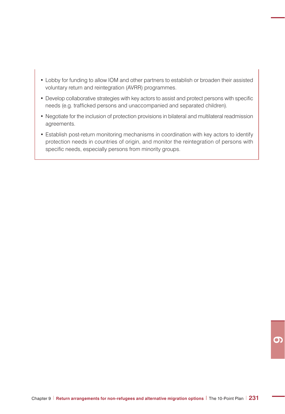- Lobby for funding to allow IOM and other partners to establish or broaden their assisted voluntary return and reintegration (AVRR) programmes.
- • Develop collaborative strategies with key actors to assist and protect persons with specific needs (e.g. trafficked persons and unaccompanied and separated children).
- Negotiate for the inclusion of protection provisions in bilateral and multilateral readmission agreements.
- Establish post-return monitoring mechanisms in coordination with key actors to identify protection needs in countries of origin, and monitor the reintegration of persons with specific needs, especially persons from minority groups.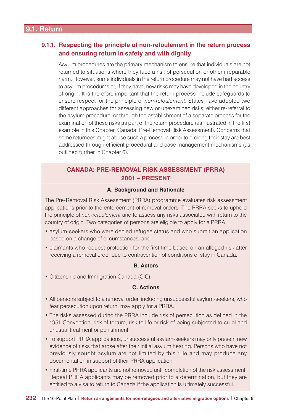# **9.1.1. Respecting the principle of non-refoulement in the return process and ensuring return in safety and with dignity**

Asylum procedures are the primary mechanism to ensure that individuals are not returned to situations where they face a risk of persecution or other irreparable harm. However, some individuals in the return procedure may not have had access to asylum procedures or, if they have, new risks may have developed in the country of origin. It is therefore important that the return process include safeguards to ensure respect for the principle of *non-refoulement*. States have adopted two different approaches for assessing new or unexamined risks: either re-referral to the asylum procedure; or through the establishment of a separate process for the examination of these risks as part of the return procedure (as illustrated in the first example in this Chapter, Canada: Pre-Removal Risk Assessment). Concerns that some returnees might abuse such a process in order to prolong their stay are best addressed through efficient procedural and case management mechanisms (as outlined further in Chapter 6).

# **CANADA: PRE-REMOVAL RISK ASSESSMENT (PRRA) 2001 – PRESENT**

#### **A. Background and Rationale**

The Pre-Removal Risk Assessment (PRRA) programme evaluates risk assessment applications prior to the enforcement of removal orders. The PRRA seeks to uphold the principle of *non-refoulement* and to assess any risks associated with return to the country of origin. Two categories of persons are eligible to apply for a PRRA:

- asylum-seekers who were denied refugee status and who submit an application based on a change of circumstances; and
- claimants who request protection for the first time based on an alleged risk after receiving a removal order due to contravention of conditions of stay in Canada.

#### **B. Actors**

• Citizenship and Immigration Canada (CIC).

#### **C. Actions**

- All persons subject to a removal order, including unsuccessful asylum-seekers, who fear persecution upon return, may apply for a PRRA.
- The risks assessed during the PRRA include risk of persecution as defined in the 1951 Convention, risk of torture, risk to life or risk of being subjected to cruel and unusual treatment or punishment.
- To support PRRA applications, unsuccessful asylum-seekers may only present new evidence of risks that arose after their initial asylum hearing. Persons who have not previously sought asylum are not limited by this rule and may produce any documentation in support of their PRRA application.
- First-time PRRA applicants are not removed until completion of the risk assessment. Repeat PRRA applicants may be removed prior to a determination, but they are entitled to a visa to return to Canada if the application is ultimately successful.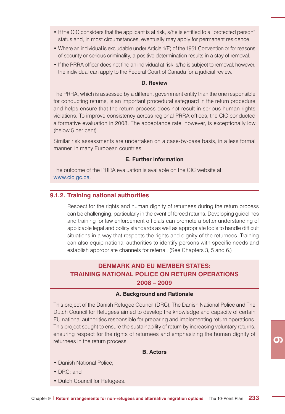- If the CIC considers that the applicant is at risk, s/he is entitled to a "protected person" status and, in most circumstances, eventually may apply for permanent residence.
- Where an individual is excludable under Article 1(F) of the 1951 Convention or for reasons of security or serious criminality, a positive determination results in a stay of removal.
- If the PRRA officer does not find an individual at risk, s/he is subject to removal; however, the individual can apply to the Federal Court of Canada for a judicial review.

The PRRA, which is assessed by a different government entity than the one responsible for conducting returns, is an important procedural safeguard in the return procedure and helps ensure that the return process does not result in serious human rights violations. To improve consistency across regional PRRA offices, the CIC conducted a formative evaluation in 2008. The acceptance rate, however, is exceptionally low (below 5 per cent).

Similar risk assessments are undertaken on a case-by-case basis, in a less formal manner, in many European countries.

#### **E. Further information**

The outcome of the PRRA evaluation is available on the CIC website at: [www.cic.gc.ca](http://www.cic.gc.ca).

#### **9.1.2. Training national authorities**

Respect for the rights and human dignity of returnees during the return process can be challenging, particularly in the event of forced returns. Developing guidelines and training for law enforcement officials can promote a better understanding of applicable legal and policy standards as well as appropriate tools to handle difficult situations in a way that respects the rights and dignity of the returnees. Training can also equip national authorities to identify persons with specific needs and establish appropriate channels for referral. (See Chapters 3, 5 and 6.)

# **DENMARK AND EU MEMBER STATES: TRAINING NATIONAL POLICE ON RETURN OPERATIONS 2008 – 2009**

#### **A. Background and Rationale**

This project of the Danish Refugee Council (DRC), The Danish National Police and The Dutch Council for Refugees aimed to develop the knowledge and capacity of certain EU national authorities responsible for preparing and implementing return operations. This project sought to ensure the sustainability of return by increasing voluntary returns, ensuring respect for the rights of returnees and emphasizing the human dignity of returnees in the return process.

#### **B. Actors**

- Danish National Police;
- DRC; and
- Dutch Council for Refugees.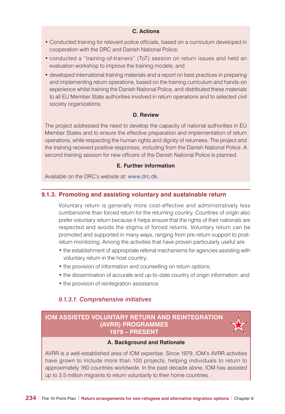#### **C. Actions**

- Conducted training for relevant police officials, based on a curriculum developed in cooperation with the DRC and Danish National Police;
- conducted a "training-of-trainers" (ToT) session on return issues and held an evaluation workshop to improve the training models; and
- developed international training materials and a report on best practices in preparing and implementing return operations, based on the training curriculum and hands-on experience whilst training the Danish National Police, and distributed these materials to all EU Member State authorities involved in return operations and to selected civil society organizations.

#### **D. Review**

The project addressed the need to develop the capacity of national authorities in EU Member States and to ensure the effective preparation and implementation of return operations, while respecting the human rights and dignity of returnees. The project and the training received positive responses, including from the Danish National Police. A second training session for new officers of the Danish National Police is planned.

#### **E. Further information**

Available on the DRC's website at: [www.drc.dk](http://www.drc.dk).

### **9.1.3. Promoting and assisting voluntary and sustainable return**

Voluntary return is generally more cost-effective and administratively less cumbersome than forced return for the returning country. Countries of origin also prefer voluntary return because it helps ensure that the rights of their nationals are respected and avoids the stigma of forced returns. Voluntary return can be promoted and supported in many ways, ranging from pre-return support to postreturn monitoring. Among the activities that have proven particularly useful are:

- the establishment of appropriate referral mechanisms for agencies assisting with voluntary return in the host country;
- the provision of information and counselling on return options;
- the dissemination of accurate and up-to-date country of origin information; and
- the provision of reintegration assistance.

# *9.1.3.1. Comprehensive initiatives*

### **IOM ASSISTED VOLUNTARY RETURN AND REINTEGRATION (AVRR) PROGRAMMES 1979 – PRESENT**



#### **A. Background and Rationale**

AVRR is a well-established area of IOM expertise. Since 1979, IOM's AVRR activities have grown to include more than 100 projects, helping individuals to return to approximately 160 countries worldwide. In the past decade alone, IOM has assisted up to 3.5 million migrants to return voluntarily to their home countries.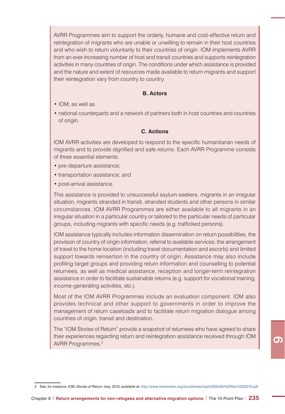AVRR Programmes aim to support the orderly, humane and cost-effective return and reintegration of migrants who are unable or unwilling to remain in their host countries and who wish to return voluntarily to their countries of origin. IOM implements AVRR from an ever-increasing number of host and transit countries and supports reintegration activities in many countries of origin. The conditions under which assistance is provided and the nature and extent of resources made available to return migrants and support their reintegration vary from country to country.

#### **B. Actors**

- IOM; as well as
- national counterparts and a network of partners both in host countries and countries of origin.

#### **C. Actions**

IOM AVRR activities are developed to respond to the specific humanitarian needs of migrants and to provide dignified and safe returns. Each AVRR Programme consists of three essential elements:

- pre-departure assistance;
- transportation assistance; and
- post-arrival assistance.

This assistance is provided to unsuccessful asylum-seekers, migrants in an irregular situation, migrants stranded in transit, stranded students and other persons in similar circumstances. IOM AVRR Programmes are either available to all migrants in an irregular situation in a particular country or tailored to the particular needs of particular groups, including migrants with specific needs (e.g. trafficked persons).

IOM assistance typically includes information dissemination on return possibilities, the provision of country of origin information, referral to available services, the arrangement of travel to the home location (including travel documentation and escorts) and limited support towards reinsertion in the country of origin. Assistance may also include profiling target groups and providing return information and counselling to potential returnees, as well as medical assistance, reception and longer-term reintegration assistance in order to facilitate sustainable returns (e.g. support for vocational training, income-generating activities, etc.).

Most of the IOM AVRR Programmes include an evaluation component. IOM also provides technical and other support to governments in order to improve the management of return caseloads and to facilitate return migration dialogue among countries of origin, transit and destination.

The "IOM Stories of Return" provide a snapshot of returnees who have agreed to share their experiences regarding return and reintegration assistance received through IOM AVRR Programmes.<sup>2</sup>

<sup>2</sup> See, for instance, IOM, *Stories of Return: Iraq,* 2010, available at: [http://www.iomlondon.org/doc/stories/Iraq%20SoRs%20Nov%202010.pdf.](http://www.iomlondon.org/doc/stories/Iraq%20SoRs%20Nov%202010.pdf)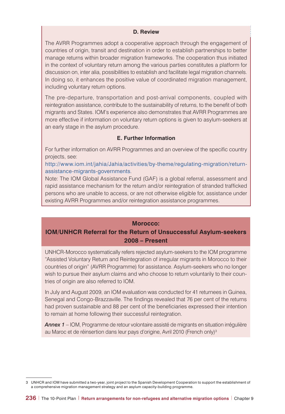The AVRR Programmes adopt a cooperative approach through the engagement of countries of origin, transit and destination in order to establish partnerships to better manage returns within broader migration frameworks. The cooperation thus initiated in the context of voluntary return among the various parties constitutes a platform for discussion on, inter alia, possibilities to establish and facilitate legal migration channels. In doing so, it enhances the positive value of coordinated migration management, including voluntary return options.

The pre-departure, transportation and post-arrival components, coupled with reintegration assistance, contribute to the sustainability of returns, to the benefit of both migrants and States. IOM's experience also demonstrates that AVRR Programmes are more effective if information on voluntary return options is given to asylum-seekers at an early stage in the asylum procedure.

#### **E. Further Information**

For further information on AVRR Programmes and an overview of the specific country projects, see:

[http://www.iom.int/jahia/Jahia/activities/by-theme/regulating-migration/return](http://www.iom.int/jahia/Jahia/activities/by-theme/regulating-migration/return-assistance-migrants-governments)[assistance-migrants-governments](http://www.iom.int/jahia/Jahia/activities/by-theme/regulating-migration/return-assistance-migrants-governments).

Note: The IOM Global Assistance Fund (GAF) is a global referral, assessment and rapid assistance mechanism for the return and/or reintegration of stranded trafficked persons who are unable to access, or are not otherwise eligible for, assistance under existing AVRR Programmes and/or reintegration assistance programmes.

#### **Morocco:**

# **IOM/UNHCR Referral for the Return of Unsuccessful Asylum-seekers 2008 – Present**

UNHCR-Morocco systematically refers rejected asylum-seekers to the IOM programme "Assisted Voluntary Return and Reintegration of irregular migrants in Morocco to their countries of origin" (AVRR Programme) for assistance. Asylum-seekers who no longer wish to pursue their asylum claims and who choose to return voluntarily to their countries of origin are also referred to IOM.

In July and August 2009, an IOM evaluation was conducted for 41 returnees in Guinea, Senegal and Congo-Brazzaville. The findings revealed that 76 per cent of the returns had proven sustainable and 88 per cent of the beneficiaries expressed their intention to remain at home following their successful reintegration.

*Annex 1* – IOM, Programme de retour volontaire assisté de migrants en situation irrégulière au Maroc et de réinsertion dans leur pays d'origine, Avril 2010 (French only)<sup>3</sup>

<sup>3</sup> UNHCR and IOM have submitted a two-year, joint project to the Spanish Development Cooperation to support the establishment of a comprehensive migration management strategy and an asylum capacity-building programme.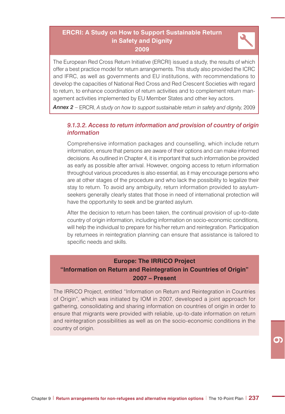# **ERCRI: A Study on How to Support Sustainable Return in Safety and Dignity 2009**

The European Red Cross Return Initiative (ERCRI) issued a study, the results of which offer a best practice model for return arrangements. This study also provided the ICRC and IFRC, as well as governments and EU institutions, with recommendations to develop the capacities of National Red Cross and Red Crescent Societies with regard to return, to enhance coordination of return activities and to complement return management activities implemented by EU Member States and other key actors.

*Annex 2* – ERCRI, *A study on how to support sustainable return in safety and dignity*, 2009

### *9.1.3.2. Access to return information and provision of country of origin information*

Comprehensive information packages and counselling, which include return information, ensure that persons are aware of their options and can make informed decisions. As outlined in Chapter 4, it is important that such information be provided as early as possible after arrival. However, ongoing access to return information throughout various procedures is also essential, as it may encourage persons who are at other stages of the procedure and who lack the possibility to legalize their stay to return. To avoid any ambiguity, return information provided to asylumseekers generally clearly states that those in need of international protection will have the opportunity to seek and be granted asylum.

After the decision to return has been taken, the continual provision of up-to-date country of origin information, including information on socio-economic conditions, will help the individual to prepare for his/her return and reintegration. Participation by returnees in reintegration planning can ensure that assistance is tailored to specific needs and skills.

# **Europe: The IRRiCO Project**

# **"Information on Return and Reintegration in Countries of Origin" 2007 – Present**

The IRRiCO Project, entitled "Information on Return and Reintegration in Countries of Origin", which was initiated by IOM in 2007, developed a joint approach for gathering, consolidating and sharing information on countries of origin in order to ensure that migrants were provided with reliable, up-to-date information on return and reintegration possibilities as well as on the socio-economic conditions in the country of origin.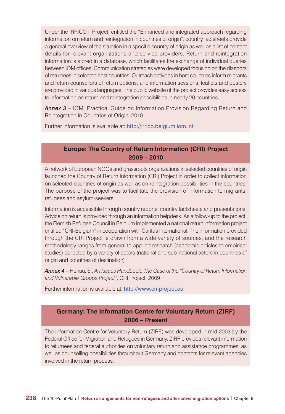Under the IRRiCO II Project, entitled the "Enhanced and integrated approach regarding information on return and reintegration in countries of origin", country factsheets provide a general overview of the situation in a specific country of origin as well as a list of contact details for relevant organizations and service providers. Return and reintegration information is stored in a database, which facilitates the exchange of individual queries between IOM offices. Communication strategies were developed focusing on the diaspora of returnees in selected host countries. Outreach activities in host countries inform migrants and return counsellors of return options, and information sessions, leaflets and posters are provided in various languages. The public website of the project provides easy access to information on return and reintegration possibilities in nearly 20 countries.

*Annex 3* – IOM, Practical Guide on Information Provision Regarding Return and Reintegration in Countries of Origin, 2010

Further information is available at: <http://irrico.belgium.iom.int>.

# **Europe: The Country of Return Information (CRI) Project 2009 – 2010**

A network of European NGOs and grassroots organizations in selected countries of origin launched the Country of Return Information (CRI) Project in order to collect information on selected countries of origin as well as on reintegration possibilities in the countries. The purpose of the project was to facilitate the provision of information to migrants, refugees and asylum-seekers.

Information is accessible through country reports, country factsheets and presentations. Advice on return is provided through an information helpdesk. As a follow-up to the project, the Flemish Refugee Council in Belgium implemented a national return information project entitled "CRI-Belgium" in cooperation with Caritas International. The information provided through the CRI Project is drawn from a wide variety of sources, and the research methodology ranges from general to applied research (academic articles to empirical studies) collected by a variety of actors (national and sub-national actors in countries of origin and countries of destination).

*Annex 4* – Henau, S., *An Issues Handbook: The Case of the "Country of Return Information and Vulnerable Groups Project"*, CRI Project, 2009

Further information is available at: <http://www.cri-project.eu>.

# **Germany: The Information Centre for Voluntary Return (ZIRF) 2006 – Present**

The Information Centre for Voluntary Return (ZIRF) was developed in mid-2003 by the Federal Office for Migration and Refugees in Germany. ZIRF provides relevant information to returnees and federal authorities on voluntary return and assistance programmes, as well as counselling possibilities throughout Germany and contacts for relevant agencies involved in the return process.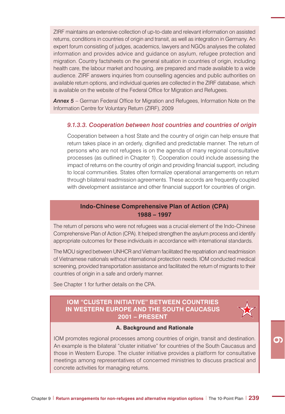ZIRF maintains an extensive collection of up-to-date and relevant information on assisted returns, conditions in countries of origin and transit, as well as integration in Germany. An expert forum consisting of judges, academics, lawyers and NGOs analyses the collated information and provides advice and guidance on asylum, refugee protection and migration. Country factsheets on the general situation in countries of origin, including health care, the labour market and housing, are prepared and made available to a wide audience. ZIRF answers inquiries from counselling agencies and public authorities on available return options, and individual queries are collected in the ZIRF database, which is available on the website of the Federal Office for Migration and Refugees.

*Annex 5* – German Federal Office for Migration and Refugees, Information Note on the Information Centre for Voluntary Return (ZIRF), 2009

### *9.1.3.3. Cooperation between host countries and countries of origin*

Cooperation between a host State and the country of origin can help ensure that return takes place in an orderly, dignified and predictable manner. The return of persons who are not refugees is on the agenda of many regional consultative processes (as outlined in Chapter 1). Cooperation could include assessing the impact of returns on the country of origin and providing financial support, including to local communities. States often formalize operational arrangements on return through bilateral readmission agreements. These accords are frequently coupled with development assistance and other financial support for countries of origin.

# **Indo-Chinese Comprehensive Plan of Action (CPA) 1988 – 1997**

The return of persons who were not refugees was a crucial element of the Indo-Chinese Comprehensive Plan of Action (CPA). It helped strengthen the asylum process and identify appropriate outcomes for these individuals in accordance with international standards.

The MOU signed between UNHCR and Vietnam facilitated the repatriation and readmission of Vietnamese nationals without international protection needs. IOM conducted medical screening, provided transportation assistance and facilitated the return of migrants to their countries of origin in a safe and orderly manner.

See Chapter 1 for further details on the CPA.

### **IOM "CLUSTER INITIATIVE" BETWEEN COUNTRIES IN WESTERN EUROPE AND THE SOUTH CAUCASUS 2001 – PRESENT**



#### **A. Background and Rationale**

IOM promotes regional processes among countries of origin, transit and destination. An example is the bilateral "cluster initiative" for countries of the South Caucasus and those in Western Europe. The cluster initiative provides a platform for consultative meetings among representatives of concerned ministries to discuss practical and concrete activities for managing returns.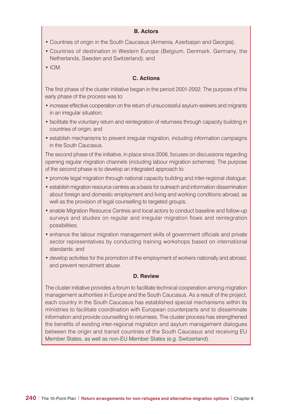#### **B. Actors**

- Countries of origin in the South Caucasus (Armenia, Azerbaijan and Georgia);
- Countries of destination in Western Europe (Belgium, Denmark, Germany, the Netherlands, Sweden and Switzerland); and
- IOM.

#### **C. Actions**

The first phase of the cluster initiative began in the period 2001-2002. The purpose of this early phase of the process was to:

- increase effective cooperation on the return of unsuccessful asylum-seekers and migrants in an irregular situation;
- facilitate the voluntary return and reintegration of returnees through capacity building in countries of origin; and
- establish mechanisms to prevent irregular migration, including information campaigns in the South Caucasus.

The second phase of the initiative, in place since 2006, focuses on discussions regarding opening regular migration channels (including labour migration schemes). The purpose of the second phase is to develop an integrated approach to:

- promote legal migration through national capacity building and inter-regional dialogue;
- establish migration resource centres as a basis for outreach and information dissemination about foreign and domestic employment and living and working conditions abroad, as well as the provision of legal counselling to targeted groups;
- enable Migration Resource Centres and local actors to conduct baseline and follow-up surveys and studies on regular and irregular migration flows and reintegration possibilities;
- enhance the labour migration management skills of government officials and private sector representatives by conducting training workshops based on international standards; and
- develop activities for the promotion of the employment of workers nationally and abroad, and prevent recruitment abuse.

#### **D. Review**

The cluster initiative provides a forum to facilitate technical cooperation among migration management authorities in Europe and the South Caucasus. As a result of the project, each country in the South Caucasus has established special mechanisms within its ministries to facilitate coordination with European counterparts and to disseminate information and provide counselling to returnees. The cluster process has strengthened the benefits of existing inter-regional migration and asylum management dialogues between the origin and transit countries of the South Caucasus and receiving EU Member States, as well as non-EU Member States (e.g. Switzerland).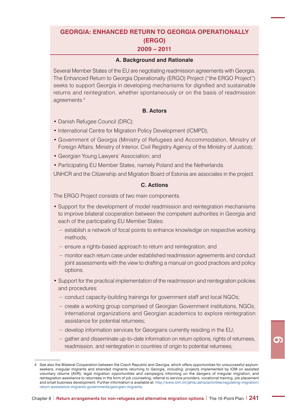# **GEORGIA: ENHANCED RETURN TO GEORGIA OPERATIONALLY (ERGO)**

### **2009 – 2011**

#### **A. Background and Rationale**

Several Member States of the EU are negotiating readmission agreements with Georgia. The Enhanced Return to Georgia Operationally (ERGO) Project ("the ERGO Project") seeks to support Georgia in developing mechanisms for dignified and sustainable returns and reintegration, whether spontaneously or on the basis of readmission agreements.4

#### **B. Actors**

- Danish Refugee Council (DRC);
- International Centre for Migration Policy Development (ICMPD);
- Government of Georgia (Ministry of Refugees and Accommodation, Ministry of Foreign Affairs, Ministry of Interior, Civil Registry Agency of the Ministry of Justice);
- Georgian Young Lawyers' Association; and
- Participating EU Member States, namely Poland and the Netherlands.

UNHCR and the Citizenship and Migration Board of Estonia are associates in the project.

#### **C. Actions**

The ERGO Project consists of two main components.

- Support for the development of model readmission and reintegration mechanisms to improve bilateral cooperation between the competent authorities in Georgia and each of the participating EU Member States:
	- − establish a network of focal points to enhance knowledge on respective working methods;
	- − ensure a rights-based approach to return and reintegration; and
	- − monitor each return case under established readmission agreements and conduct joint assessments with the view to drafting a manual on good practices and policy options.
- Support for the practical implementation of the readmission and reintegration policies and procedures:
	- − conduct capacity-building trainings for government staff and local NGOs;
	- − create a working group comprised of Georgian Government institutions, NGOs, international organizations and Georgian academics to explore reintegration assistance for potential returnees;
	- − develop information services for Georgians currently residing in the EU;
	- − gather and disseminate up-to-date information on return options, rights of returnees, readmission, and reintegration in countries of origin to potential returnees;

<sup>4</sup> See also the Bilateral Cooperation between the Czech Republic and Georgia, which offers opportunities for unsuccessful asylumseekers, irregular migrants and stranded migrants returning to Georgia, including: projects implemented by IOM on assisted voluntary returns (AVR); legal migration opportunities and campaigns informing on the dangers of irregular migration; and reintegration assistance to returnees in the form of job counseling, referral to service providers, vocational training, job placement and small business development. Further information is available at: [http://www.iom.int/jahia/Jahia/activities/regulating-migration/](http://www.iom.int/jahia/Jahia/activities/regulating-migration/return-assistance-migrants-governments/georgian-migrants) [return-assistance-migrants-governments/georgian-migrants](http://www.iom.int/jahia/Jahia/activities/regulating-migration/return-assistance-migrants-governments/georgian-migrants).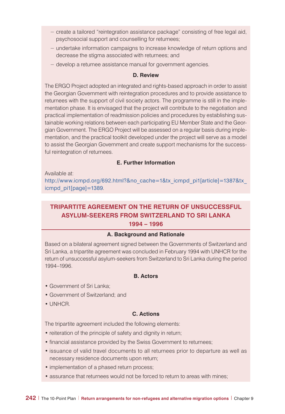- − create a tailored "reintegration assistance package" consisting of free legal aid, psychosocial support and counselling for returnees;
- − undertake information campaigns to increase knowledge of return options and decrease the stigma associated with returnees; and
- − develop a returnee assistance manual for government agencies.

The ERGO Project adopted an integrated and rights-based approach in order to assist the Georgian Government with reintegration procedures and to provide assistance to returnees with the support of civil society actors. The programme is still in the implementation phase. It is envisaged that the project will contribute to the negotiation and practical implementation of readmission policies and procedures by establishing sustainable working relations between each participating EU Member State and the Georgian Government. The ERGO Project will be assessed on a regular basis during implementation, and the practical toolkit developed under the project will serve as a model to assist the Georgian Government and create support mechanisms for the successful reintegration of returnees.

#### **E. Further Information**

Available at:

[http://www.icmpd.org/692.html?&no\\_cache=1&tx\\_icmpd\\_pi1\[article\]=1387&tx\\_](http://www.icmpd.org/692.html?&no_cache=1&tx_icmpd_pi1[article]=1387&tx_icmpd_pi1[page]=1389) [icmpd\\_pi1\[page\]=1389](http://www.icmpd.org/692.html?&no_cache=1&tx_icmpd_pi1[article]=1387&tx_icmpd_pi1[page]=1389).

# **TRIPARTITE AGREEMENT ON THE RETURN OF UNSUCCESSFUL ASYLUM-SEEKERS FROM SWITZERLAND TO SRI LANKA 1994 – 1996**

#### **A. Background and Rationale**

Based on a bilateral agreement signed between the Governments of Switzerland and Sri Lanka, a tripartite agreement was concluded in February 1994 with UNHCR for the return of unsuccessful asylum-seekers from Switzerland to Sri Lanka during the period 1994–1996.

#### **B. Actors**

- Government of Sri Lanka;
- Government of Switzerland; and
- UNHCR.

#### **C. Actions**

The tripartite agreement included the following elements:

- reiteration of the principle of safety and dignity in return;
- financial assistance provided by the Swiss Government to returnees;
- issuance of valid travel documents to all returnees prior to departure as well as necessary residence documents upon return;
- implementation of a phased return process;
- assurance that returnees would not be forced to return to areas with mines;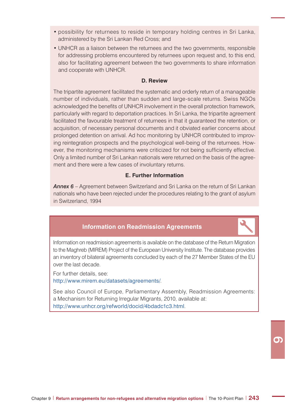- possibility for returnees to reside in temporary holding centres in Sri Lanka, administered by the Sri Lankan Red Cross; and
- UNHCR as a liaison between the returnees and the two governments, responsible for addressing problems encountered by returnees upon request and, to this end, also for facilitating agreement between the two governments to share information and cooperate with UNHCR.

The tripartite agreement facilitated the systematic and orderly return of a manageable number of individuals, rather than sudden and large-scale returns. Swiss NGOs acknowledged the benefits of UNHCR involvement in the overall protection framework, particularly with regard to deportation practices. In Sri Lanka, the tripartite agreement facilitated the favourable treatment of returnees in that it guaranteed the retention, or acquisition, of necessary personal documents and it obviated earlier concerns about prolonged detention on arrival. Ad hoc monitoring by UNHCR contributed to improving reintegration prospects and the psychological well-being of the returnees. However, the monitoring mechanisms were criticized for not being sufficiently effective. Only a limited number of Sri Lankan nationals were returned on the basis of the agreement and there were a few cases of involuntary returns.

#### **E. Further Information**

*Annex 6* – Agreement between Switzerland and Sri Lanka on the return of Sri Lankan nationals who have been rejected under the procedures relating to the grant of asylum in Switzerland, 1994

#### **Information on Readmission Agreements**

Information on readmission agreements is available on the database of the Return Migration to the Maghreb (MIREM) Project of the European University Institute. The database provides an inventory of bilateral agreements concluded by each of the 27 Member States of the EU over the last decade.

For further details, see:

<http://www.mirem.eu/datasets/agreements>/.

See also Council of Europe, Parliamentary Assembly, Readmission Agreements: a Mechanism for Returning Irregular Migrants, 2010, available at: <http://www.unhcr.org/refworld/docid/4bdadc1c3.html>.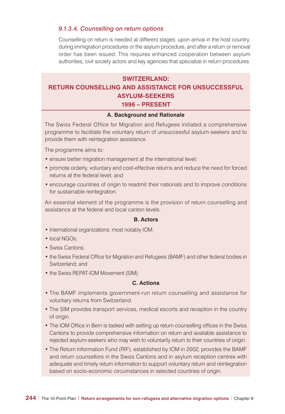### *9.1.3.4. Counselling on return options*

Counselling on return is needed at different stages: upon arrival in the host country, during immigration procedures or the asylum procedure, and after a return or removal order has been issued. This requires enhanced cooperation between asylum authorities, civil society actors and key agencies that specialize in return procedures.

# **SWITZERLAND: RETURN COUNSELLING AND ASSISTANCE FOR UNSUCCESSFUL ASYLUM-SEEKERS**

### **1996 – PRESENT**

#### **A. Background and Rationale**

The Swiss Federal Office for Migration and Refugees initiated a comprehensive programme to facilitate the voluntary return of unsuccessful asylum-seekers and to provide them with reintegration assistance.

The programme aims to:

- ensure better migration management at the international level;
- promote orderly, voluntary and cost-effective returns and reduce the need for forced returns at the federal level; and
- encourage countries of origin to readmit their nationals and to improve conditions for sustainable reintegration.

An essential element of the programme is the provision of return counselling and assistance at the federal and local canton levels.

#### **B. Actors**

- International organizations, most notably IOM;
- local NGOs:
- Swiss Cantons;
- the Swiss Federal Office for Migration and Refugees (BAMF) and other federal bodies in Switzerland; and
- the Swiss REPAT-IOM Movement (SIM).

#### **C. Actions**

- The BAMF implements government-run return counselling and assistance for voluntary returns from Switzerland.
- The SIM provides transport services, medical escorts and reception in the country of origin.
- The IOM Office in Bern is tasked with setting up return counselling offices in the Swiss Cantons to provide comprehensive information on return and available assistance to rejected asylum-seekers who may wish to voluntarily return to their countries of origin.
- The Return Information Fund (RIF), established by IOM in 2002, provides the BAMF and return counsellors in the Swiss Cantons and in asylum reception centres with adequate and timely return information to support voluntary return and reintegration based on socio-economic circumstances in selected countries of origin.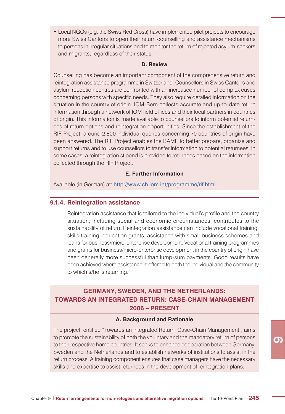• Local NGOs (e.g. the Swiss Red Cross) have implemented pilot projects to encourage more Swiss Cantons to open their return counselling and assistance mechanisms to persons in irregular situations and to monitor the return of rejected asylum-seekers and migrants, regardless of their status.

#### **D. Review**

Counselling has become an important component of the comprehensive return and reintegration assistance programme in Switzerland. Counsellors in Swiss Cantons and asylum reception centres are confronted with an increased number of complex cases concerning persons with specific needs. They also require detailed information on the situation in the country of origin. IOM-Bern collects accurate and up-to-date return information through a network of IOM field offices and their local partners in countries of origin. This information is made available to counsellors to inform potential returnees of return options and reintegration opportunities. Since the establishment of the RIF Project, around 2,800 individual queries concerning 70 countries of origin have been answered. The RIF Project enables the BAMF to better prepare, organize and support returns and to use counsellors to transfer information to potential returnees. In some cases, a reintegration stipend is provided to returnees based on the information collected through the RIF Project.

#### **E. Further Information**

Available (in German) at: <http://www.ch.iom.int/programme/rif.html>.

#### **9.1.4. Reintegration assistance**

Reintegration assistance that is tailored to the individual's profile and the country situation, including social and economic circumstances, contributes to the sustainability of return. Reintegration assistance can include vocational training, skills training, education grants, assistance with small-business schemes and loans for business/micro-enterprise development. Vocational training programmes and grants for business/micro-enterprise development in the country of origin have been generally more successful than lump-sum payments. Good results have been achieved where assistance is offered to both the individual and the community to which s/he is returning.

# **GERMANY, SWEDEN, AND THE NETHERLANDS: TOWARDS AN INTEGRATED RETURN: CASE-CHAIN MANAGEMENT 2006 – PRESENT**

#### **A. Background and Rationale**

The project, entitled "Towards an Integrated Return: Case-Chain Management", aims to promote the sustainability of both the voluntary and the mandatory return of persons to their respective home countries. It seeks to enhance cooperation between Germany, Sweden and the Netherlands and to establish networks of institutions to assist in the return process. A training component ensures that case managers have the necessary skills and expertise to assist returnees in the development of reintegration plans.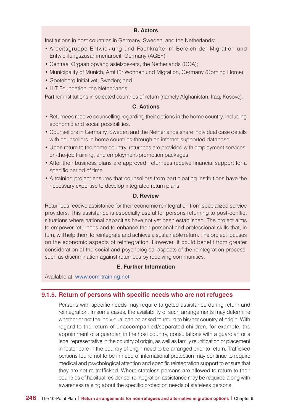#### **B. Actors**

Institutions in host countries in Germany, Sweden, and the Netherlands:

- Arbeitsgruppe Entwicklung und Fachkräfte im Bereich der Migration und Entwicklungszusammenarbeit, Germany (AGEF);
- Centraal Orgaan opvang asielzoekers, the Netherlands (COA);
- Municipality of Munich, Amt für Wohnen und Migration, Germany (Coming Home);
- Goeteborg Initiativet, Sweden; and
- HIT Foundation, the Netherlands.

Partner institutions in selected countries of return (namely Afghanistan, Iraq, Kosovo).

#### **C. Actions**

- Returnees receive counselling regarding their options in the home country, including economic and social possibilities.
- Counsellors in Germany, Sweden and the Netherlands share individual case details with counsellors in home countries through an internet-supported database.
- Upon return to the home country, returnees are provided with employment services, on-the-job training, and employment-promotion packages.
- After their business plans are approved, returnees receive financial support for a specific period of time.
- A training project ensures that counsellors from participating institutions have the necessary expertise to develop integrated return plans.

#### **D. Review**

Returnees receive assistance for their economic reintegration from specialized service providers. This assistance is especially useful for persons returning to post-conflict situations where national capacities have not yet been established. The project aims to empower returnees and to enhance their personal and professional skills that, in turn, will help them to reintegrate and achieve a sustainable return. The project focuses on the economic aspects of reintegration. However, it could benefit from greater consideration of the social and psychological aspects of the reintegration process, such as discrimination against returnees by receiving communities.

#### **E. Further Information**

Available at: [www.ccm-training.net](http://www.ccm-training.net).

#### **9.1.5. Return of persons with specific needs who are not refugees**

Persons with specific needs may require targeted assistance during return and reintegration. In some cases, the availability of such arrangements may determine whether or not the individual can be asked to return to his/her country of origin. With regard to the return of unaccompanied/separated children, for example, the appointment of a guardian in the host country, consultations with a guardian or a legal representative in the country of origin, as well as family reunification or placement in foster care in the country of origin need to be arranged prior to return. Trafficked persons found not to be in need of international protection may continue to require medical and psychological attention and specific reintegration support to ensure that they are not re-trafficked. Where stateless persons are allowed to return to their countries of habitual residence, reintegration assistance may be required along with awareness raising about the specific protection needs of stateless persons.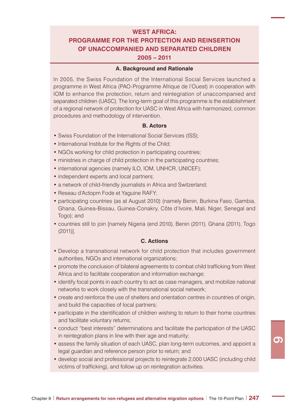# **WEST AFRICA: PROGRAMME FOR THE PROTECTION AND REINSERTION OF UNACCOMPANIED AND SEPARATED CHILDREN**

# **2005 – 2011**

#### **A. Background and Rationale**

In 2005, the Swiss Foundation of the International Social Services launched a programme in West Africa (PAO-Programme Afrique de l'Ouest) in cooperation with IOM to enhance the protection, return and reintegration of unaccompanied and separated children (UASC). The long-term goal of this programme is the establishment of a regional network of protection for UASC in West Africa with harmonized, common procedures and methodology of intervention.

#### **B. Actors**

- Swiss Foundation of the International Social Services (ISS);
- International Institute for the Rights of the Child;
- NGOs working for child protection in participating countries;
- ministries in charge of child protection in the participating countries;
- international agencies (namely ILO, IOM, UNHCR, UNICEF);
- independent experts and local partners;
- a network of child-friendly journalists in Africa and Switzerland;
- Reseau d'Actopm Fode et Yaguine RAFY;
- participating countries (as at August 2010) (namely Benin, Burkina Faso, Gambia, Ghana, Guinea-Bissau, Guinea-Conakry, Côte d'Ivoire, Mali, Niger, Senegal and Togo); and
- countries still to join [namely Nigeria (end 2010), Benin (2011), Ghana (2011), Togo (2011)].

#### **C. Actions**

- Develop a transnational network for child protection that includes government authorities, NGOs and international organizations;
- promote the conclusion of bilateral agreements to combat child trafficking from West Africa and to facilitate cooperation and information exchange;
- identify focal points in each country to act as case managers, and mobilize national networks to work closely with the transnational social network;
- create and reinforce the use of shelters and orientation centres in countries of origin, and build the capacities of local partners;
- participate in the identification of children wishing to return to their home countries and facilitate voluntary returns;
- conduct "best interests" determinations and facilitate the participation of the UASC in reintegration plans in line with their age and maturity;
- assess the family situation of each UASC, plan long-term outcomes, and appoint a legal guardian and reference person prior to return; and
- develop social and professional projects to reintegrate 2,000 UASC (including child victims of trafficking), and follow up on reintegration activities.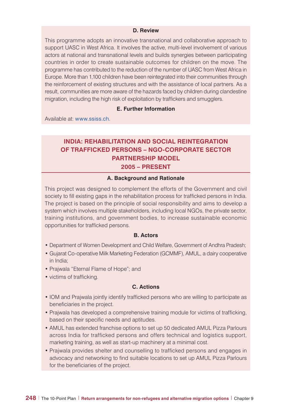This programme adopts an innovative transnational and collaborative approach to support UASC in West Africa. It involves the active, multi-level involvement of various actors at national and transnational levels and builds synergies between participating countries in order to create sustainable outcomes for children on the move. The programme has contributed to the reduction of the number of UASC from West Africa in Europe. More than 1,100 children have been reintegrated into their communities through the reinforcement of existing structures and with the assistance of local partners. As a result, communities are more aware of the hazards faced by children during clandestine migration, including the high risk of exploitation by traffickers and smugglers.

#### **E. Further Information**

Available at: [www.ssiss.ch](http://www.ssiss.ch).

# **INDIA: REHABILITATION AND SOCIAL REINTEGRATION OF TRAFFICKED PERSONS – NGO-CORPORATE SECTOR PARTNERSHIP MODEL**

### **2005 – PRESENT**

#### **A. Background and Rationale**

This project was designed to complement the efforts of the Government and civil society to fill existing gaps in the rehabilitation process for trafficked persons in India. The project is based on the principle of social responsibility and aims to develop a system which involves multiple stakeholders, including local NGOs, the private sector, training institutions, and government bodies, to increase sustainable economic opportunities for trafficked persons.

#### **B. Actors**

- Department of Women Development and Child Welfare, Government of Andhra Pradesh;
- Gujarat Co-operative Milk Marketing Federation (GCMMF), AMUL, a dairy cooperative in India;
- Prajwala "Eternal Flame of Hope"; and
- victims of trafficking.

#### **C. Actions**

- IOM and Prajwala jointly identify trafficked persons who are willing to participate as beneficiaries in the project.
- Prajwala has developed a comprehensive training module for victims of trafficking, based on their specific needs and aptitudes.
- AMUL has extended franchise options to set up 50 dedicated AMUL Pizza Parlours across India for trafficked persons and offers technical and logistics support, marketing training, as well as start-up machinery at a minimal cost.
- Prajwala provides shelter and counselling to trafficked persons and engages in advocacy and networking to find suitable locations to set up AMUL Pizza Parlours for the beneficiaries of the project.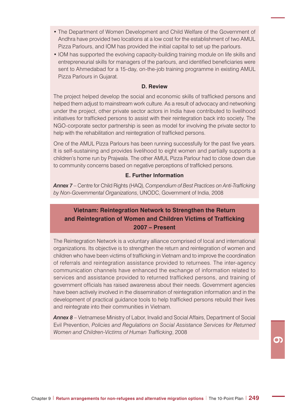- The Department of Women Development and Child Welfare of the Government of Andhra have provided two locations at a low cost for the establishment of two AMUL Pizza Parlours, and IOM has provided the initial capital to set up the parlours.
- IOM has supported the evolving capacity-building training module on life skills and entrepreneurial skills for managers of the parlours, and identified beneficiaries were sent to Ahmedabad for a 15-day, on-the-job training programme in existing AMUL Pizza Parlours in Gujarat.

The project helped develop the social and economic skills of trafficked persons and helped them adjust to mainstream work culture. As a result of advocacy and networking under the project, other private sector actors in India have contributed to livelihood initiatives for trafficked persons to assist with their reintegration back into society. The NGO-corporate sector partnership is seen as model for involving the private sector to help with the rehabilitation and reintegration of trafficked persons.

One of the AMUL Pizza Parlours has been running successfully for the past five years. It is self-sustaining and provides livelihood to eight women and partially supports a children's home run by Prajwala. The other AMUL Pizza Parlour had to close down due to community concerns based on negative perceptions of trafficked persons.

#### **E. Further Information**

*Annex 7* – Centre for Child Rights (HAQ), *Compendium of Best Practices on Anti-Trafficking by Non-Governmental Organizations*, UNODC, Government of India, 2008

# **Vietnam: Reintegration Network to Strengthen the Return and Reintegration of Women and Children Victims of Trafficking 2007 – Present**

The Reintegration Network is a voluntary alliance comprised of local and international organizations. Its objective is to strengthen the return and reintegration of women and children who have been victims of trafficking in Vietnam and to improve the coordination of referrals and reintegration assistance provided to returnees. The inter-agency communication channels have enhanced the exchange of information related to services and assistance provided to returned trafficked persons, and training of government officials has raised awareness about their needs. Government agencies have been actively involved in the dissemination of reintegration information and in the development of practical guidance tools to help trafficked persons rebuild their lives and reintegrate into their communities in Vietnam.

*Annex 8* – Vietnamese Ministry of Labor, Invalid and Social Affairs, Department of Social Evil Prevention, *Policies and Regulations on Social Assistance Services for Returned Women and Children-Victims of Human Trafficking*, 2008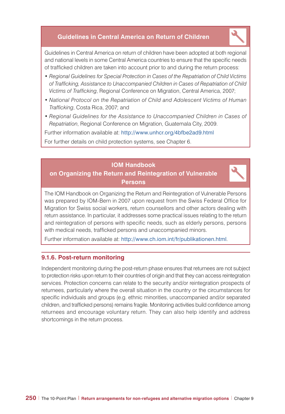# **Guidelines in Central America on Return of Children**



Guidelines in Central America on return of children have been adopted at both regional and national levels in some Central America countries to ensure that the specific needs of trafficked children are taken into account prior to and during the return process:

- *Regional Guidelines for Special Protection in Cases of the Repatriation of Child Victims of Trafficking, Assistance to Unaccompanied Children in Cases of Repatriation of Child Victims of Trafficking*, Regional Conference on Migration, Central America, 2007;
- *National Protocol on the Repatriation of Child and Adolescent Victims of Human Trafficking*, Costa Rica, 2007; and
- *Regional Guidelines for the Assistance to Unaccompanied Children in Cases of Repatriation*, Regional Conference on Migration, Guatemala City, 2009.

Further information available at: <http://www.unhcr.org/4bfbe2ad9.html>

For further details on child protection systems, see Chapter 6.

# **IOM Handbook on Organizing the Return and Reintegration of Vulnerable Persons**



Further information available at: <http://www.ch.iom.int/fr/publikationen.html>.

#### **9.1.6. Post-return monitoring**

Independent monitoring during the post-return phase ensures that returnees are not subject to protection risks upon return to their countries of origin and that they can access reintegration services. Protection concerns can relate to the security and/or reintegration prospects of returnees, particularly where the overall situation in the country or the circumstances for specific individuals and groups (e.g. ethnic minorities, unaccompanied and/or separated children, and trafficked persons) remains fragile. Monitoring activities build confidence among returnees and encourage voluntary return. They can also help identify and address shortcomings in the return process.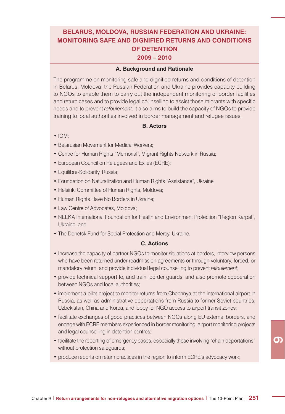# **BELARUS, MOLDOVA, RUSSIAN FEDERATION AND UKRAINE: MONITORING SAFE AND DIGNIFIED RETURNS AND CONDITIONS OF DETENTION**

#### **2009 – 2010**

#### **A. Background and Rationale**

The programme on monitoring safe and dignified returns and conditions of detention in Belarus, Moldova, the Russian Federation and Ukraine provides capacity building to NGOs to enable them to carry out the independent monitoring of border facilities and return cases and to provide legal counselling to assist those migrants with specific needs and to prevent *refoulement*. It also aims to build the capacity of NGOs to provide training to local authorities involved in border management and refugee issues.

#### **B. Actors**

- IOM;
- Belarusian Movement for Medical Workers;
- Centre for Human Rights "Memorial", Migrant Rights Network in Russia;
- European Council on Refugees and Exiles (ECRE);
- Equilibre-Solidarity, Russia;
- Foundation on Naturalization and Human Rights "Assistance", Ukraine;
- Helsinki Committee of Human Rights, Moldova;
- Human Rights Have No Borders in Ukraine;
- Law Centre of Advocates, Moldova;
- NEEKA International Foundation for Health and Environment Protection "Region Karpat", Ukraine; and
- The Donetsk Fund for Social Protection and Mercy, Ukraine.

#### **C. Actions**

- Increase the capacity of partner NGOs to monitor situations at borders, interview persons who have been returned under readmission agreements or through voluntary, forced, or mandatory return, and provide individual legal counselling to prevent *refoulement*;
- provide technical support to, and train, border guards, and also promote cooperation between NGOs and local authorities;
- implement a pilot project to monitor returns from Chechnya at the international airport in Russia, as well as administrative deportations from Russia to former Soviet countries, Uzbekistan, China and Korea, and lobby for NGO access to airport transit zones;
- facilitate exchanges of good practices between NGOs along EU external borders, and engage with ECRE members experienced in border monitoring, airport monitoring projects and legal counselling in detention centres;
- facilitate the reporting of emergency cases, especially those involving "chain deportations" without protection safequards;
- produce reports on return practices in the region to inform ECRE's advocacy work;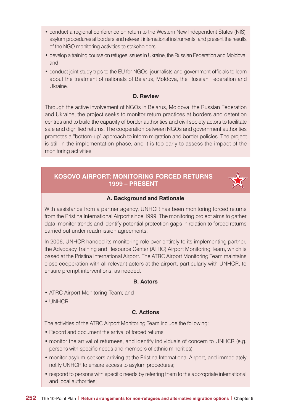- conduct a regional conference on return to the Western New Independent States (NIS), asylum procedures at borders and relevant international instruments, and present the results of the NGO monitoring activities to stakeholders;
- develop a training course on refugee issues in Ukraine, the Russian Federation and Moldova; and
- conduct joint study trips to the EU for NGOs, journalists and government officials to learn about the treatment of nationals of Belarus, Moldova, the Russian Federation and Ukraine.

Through the active involvement of NGOs in Belarus, Moldova, the Russian Federation and Ukraine, the project seeks to monitor return practices at borders and detention centres and to build the capacity of border authorities and civil society actors to facilitate safe and dignified returns. The cooperation between NGOs and government authorities promotes a "bottom-up" approach to inform migration and border policies. The project is still in the implementation phase, and it is too early to assess the impact of the monitoring activities.

# **KOSOVO AIRPORT: MONITORING FORCED RETURNS 1999 – PRESENT**



#### **A. Background and Rationale**

With assistance from a partner agency, UNHCR has been monitoring forced returns from the Pristina International Airport since 1999. The monitoring project aims to gather data, monitor trends and identify potential protection gaps in relation to forced returns carried out under readmission agreements.

In 2006, UNHCR handed its monitoring role over entirely to its implementing partner, the Advocacy Training and Resource Center (ATRC) Airport Monitoring Team, which is based at the Pristina International Airport. The ATRC Airport Monitoring Team maintains close cooperation with all relevant actors at the airport, particularly with UNHCR, to ensure prompt interventions, as needed.

#### **B. Actors**

- ATRC Airport Monitoring Team; and
- UNHCR.

### **C. Actions**

The activities of the ATRC Airport Monitoring Team include the following:

- Record and document the arrival of forced returns;
- monitor the arrival of returnees, and identify individuals of concern to UNHCR (e.g. persons with specific needs and members of ethnic minorities);
- monitor asylum-seekers arriving at the Pristina International Airport, and immediately notify UNHCR to ensure access to asylum procedures;
- respond to persons with specific needs by referring them to the appropriate international and local authorities;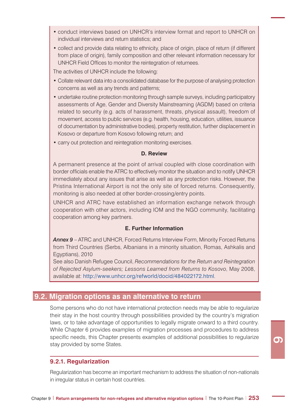- conduct interviews based on UNHCR's interview format and report to UNHCR on individual interviews and return statistics; and
- collect and provide data relating to ethnicity, place of origin, place of return (if different from place of origin), family composition and other relevant information necessary for UNHCR Field Offices to monitor the reintegration of returnees.

The activities of UNHCR include the following:

- Collate relevant data into a consolidated database for the purpose of analysing protection concerns as well as any trends and patterns;
- undertake routine protection monitoring through sample surveys, including participatory assessments of Age, Gender and Diversity Mainstreaming (AGDM) based on criteria related to security (e.g. acts of harassment, threats, physical assault), freedom of movement, access to public services (e.g. health, housing, education, utilities, issuance of documentation by administrative bodies), property restitution, further displacement in Kosovo or departure from Kosovo following return; and
- carry out protection and reintegration monitoring exercises.

#### **D. Review**

A permanent presence at the point of arrival coupled with close coordination with border officials enable the ATRC to effectively monitor the situation and to notify UNHCR immediately about any issues that arise as well as any protection risks. However, the Pristina International Airport is not the only site of forced returns. Consequently, monitoring is also needed at other border-crossing/entry points.

UNHCR and ATRC have established an information exchange network through cooperation with other actors, including IOM and the NGO community, facilitating cooperation among key partners.

#### **E. Further Information**

*Annex 9* – ATRC and UNHCR, Forced Returns Interview Form, Minority Forced Returns from Third Countries (Serbs, Albanians in a minority situation, Romas, Ashkalis and Egyptians), 2010

See also Danish Refugee Council, *Recommendations for the Return and Reintegration of Rejected Asylum-seekers; Lessons Learned from Returns to Kosovo*, May 2008, available at: <http://www.unhcr.org/refworld/docid/484022172.html>.

# **9.2. Migration options as an alternative to return**

Some persons who do not have international protection needs may be able to regularize their stay in the host country through possibilities provided by the country's migration laws, or to take advantage of opportunities to legally migrate onward to a third country. While Chapter 6 provides examples of migration processes and procedures to address specific needs, this Chapter presents examples of additional possibilities to regularize stay provided by some States.

#### **9.2.1. Regularization**

Regularization has become an important mechanism to address the situation of non-nationals in irregular status in certain host countries.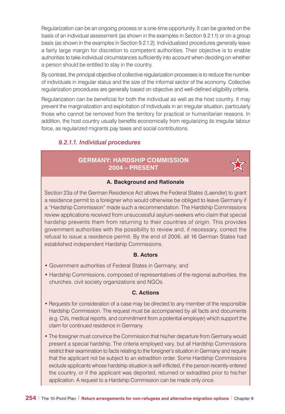Regularization can be an ongoing process or a one-time opportunity. It can be granted on the basis of an individual assessment (as shown in the examples in Section 9.2.1.1) or on a group basis (as shown in the examples in Section 9.2.1.2). Individualized procedures generally leave a fairly large margin for discretion to competent authorities. Their objective is to enable authorities to take individual circumstances sufficiently into account when deciding on whether a person should be entitled to stay in the country.

By contrast, the principal objective of collective regularization processes is to reduce the number of individuals in irregular status and the size of the informal sector of the economy. Collective regularization procedures are generally based on objective and well-defined eligibility criteria.

Regularization can be beneficial for both the individual as well as the host country. It may prevent the marginalization and exploitation of individuals in an irregular situation, particularly those who cannot be removed from the territory for practical or humanitarian reasons. In addition, the host country usually benefits economically from regularizing its irregular labour force, as regularized migrants pay taxes and social contributions.

# *9.2.1.1. Individual procedures*

# **GERMANY: HARDSHIP COMMISSION 2004 – PRESENT**



#### **A. Background and Rationale**

Section 23a of the German Residence Act allows the Federal States (Laender) to grant a residence permit to a foreigner who would otherwise be obliged to leave Germany if a "Hardship Commission" made such a recommendation. The Hardship Commissions review applications received from unsuccessful asylum-seekers who claim that special hardship prevents them from returning to their countries of origin. This provides government authorities with the possibility to review and, if necessary, correct the refusal to issue a residence permit. By the end of 2006, all 16 German States had established independent Hardship Commissions.

#### **B. Actors**

- Government authorities of Federal States in Germany; and
- Hardship Commissions, composed of representatives of the regional authorities, the churches, civil society organizations and NGOs.

#### **C. Actions**

- Requests for consideration of a case may be directed to any member of the responsible Hardship Commission. The request must be accompanied by all facts and documents (e.g. CVs, medical reports, and commitment from a potential employer) which support the claim for continued residence in Germany.
- The foreigner must convince the Commission that his/her departure from Germany would present a special hardship. The criteria employed vary, but all Hardship Commissions restrict their examination to facts relating to the foreigner's situation in Germany and require that the applicant not be subject to an extradition order. Some Hardship Commissions exclude applicants whose hardship situation is self-inflicted, if the person recently entered the country, or if the applicant was deported, returned or extradited prior to his/her application. A request to a Hardship Commission can be made only once.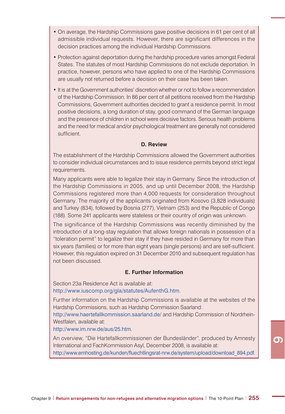- On average, the Hardship Commissions gave positive decisions in 61 per cent of all admissible individual requests. However, there are significant differences in the decision practices among the individual Hardship Commissions.
- Protection against deportation during the hardship procedure varies amongst Federal States. The statutes of most Hardship Commissions do not exclude deportation. In practice, however, persons who have applied to one of the Hardship Commissions are usually not returned before a decision on their case has been taken.
- It is at the Government authorities' discretion whether or not to follow a recommendation of the Hardship Commission. In 86 per cent of all petitions received from the Hardship Commissions, Government authorities decided to grant a residence permit. In most positive decisions, a long duration of stay, good command of the German language and the presence of children in school were decisive factors. Serious health problems and the need for medical and/or psychological treatment are generally not considered sufficient.

The establishment of the Hardship Commissions allowed the Government authorities to consider individual circumstances and to issue residence permits beyond strict legal requirements.

Many applicants were able to legalize their stay in Germany. Since the introduction of the Hardship Commissions in 2005, and up until December 2008, the Hardship Commissions registered more than 4,000 requests for consideration throughout Germany. The majority of the applicants originated from Kosovo (3,828 individuals) and Turkey (834), followed by Bosnia (277), Vietnam (253) and the Republic of Congo (188). Some 241 applicants were stateless or their country of origin was unknown.

The significance of the Hardship Commissions was recently diminished by the introduction of a long-stay regulation that allows foreign nationals in possession of a "toleration permit" to legalize their stay if they have resided in Germany for more than six years (families) or for more than eight years (single persons) and are self-sufficient. However, this regulation expired on 31 December 2010 and subsequent regulation has not been discussed.

#### **E. Further Information**

Section 23a Residence Act is available at:

<http://www.iuscomp.org/gla/statutes/AufenthG.htm>.

Further information on the Hardship Commissions is available at the websites of the Hardship Commissions, such as Hardship Commission Saarland:

<http://www.haertefallkommission.saarland.de>/ and Hardship Commission of Nordrhein-Westfalen, available at:

<http://www.im.nrw.de/aus/25.htm>.

An overview, "Die Hartefallkommissionen der Bundesländer", produced by Amnesty International and FachKommission Asyl, December 2008, is available at: [http://www.emhosting.de/kunden/fluechtlingsrat-nrw.de/system/upload/download\\_894.pdf](http://www.emhosting.de/kunden/fluechtlingsrat-nrw.de/system/upload/download_894.pdf).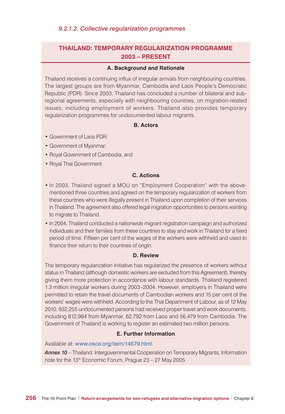#### *9.2.1.2. Collective regularization programmes*

# **THAILAND: TEMPORARY REGULARIZATION PROGRAMME 2003 – PRESENT**

#### **A. Background and Rationale**

Thailand receives a continuing influx of irregular arrivals from neighbouring countries. The largest groups are from Myanmar, Cambodia and Laos People's Democratic Republic (PDR). Since 2003, Thailand has concluded a number of bilateral and subregional agreements, especially with neighbouring countries, on migration-related issues, including employment of workers. Thailand also provides temporary regularization programmes for undocumented labour migrants.

#### **B. Actors**

- Government of Laos PDR;
- Government of Myanmar;
- Royal Government of Cambodia; and
- Royal Thai Government.

#### **C. Actions**

- In 2003, Thailand signed a MOU on "Employment Cooperation" with the abovementioned three countries and agreed on the temporary regularization of workers from these countries who were illegally present in Thailand upon completion of their services in Thailand. The agreement also offered legal migration opportunities to persons wanting to migrate to Thailand.
- In 2004, Thailand conducted a nationwide migrant registration campaign and authorized individuals and their families from these countries to stay and work in Thailand for a fixed period of time. Fifteen per cent of the wages of the workers were withheld and used to finance their return to their countries of origin.

#### **D. Review**

The temporary regularization initiative has regularized the presence of workers without status in Thailand (although domestic workers are excluded from this Agreement), thereby giving them more protection in accordance with labour standards. Thailand registered 1.3 million irregular workers during 2003–2004. However, employers in Thailand were permitted to retain the travel documents of Cambodian workers and 15 per cent of the workers' wages were withheld. According to the Thai Department of Labour, as of 12 May 2010, 932,255 undocumented persons had received proper travel and work documents, including 812,984 from Myanmar, 62,792 from Laos and 56,479 from Cambodia. The Government of Thailand is working to register an estimated two million persons.

#### **E. Further Information**

Available at: [www.osce.org/item/14679.html](http://www.osce.org/item/14679.html).

*Annex 10* – Thailand: Intergovernmental Cooperation on Temporary Migrants, Information note for the 13<sup>th</sup> Economic Forum, Prague 23 – 27 May 2005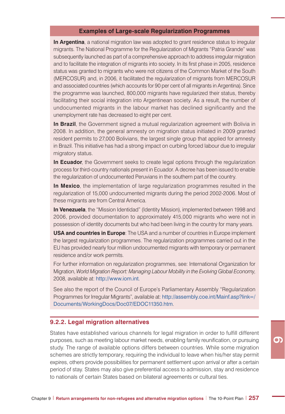#### **Examples of Large-scale Regularization Programmes**

**In Argentina**, a national migration law was adopted to grant residence status to irregular migrants. The National Programme for the Regularization of Migrants "Patria Grande" was subsequently launched as part of a comprehensive approach to address irregular migration and to facilitate the integration of migrants into society. In its first phase in 2005, residence status was granted to migrants who were not citizens of the Common Market of the South (MERCOSUR) and, in 2006, it facilitated the regularization of migrants from MERCOSUR and associated countries (which accounts for 90 per cent of all migrants in Argentina). Since the programme was launched, 800,000 migrants have regularized their status, thereby facilitating their social integration into Argentinean society. As a result, the number of undocumented migrants in the labour market has declined significantly and the unemployment rate has decreased to eight per cent.

**In Brazil**, the Government signed a mutual regularization agreement with Bolivia in 2008. In addition, the general amnesty on migration status initiated in 2009 granted resident permits to 27,000 Bolivians, the largest single group that applied for amnesty in Brazil. This initiative has had a strong impact on curbing forced labour due to irregular migratory status.

**In Ecuador**, the Government seeks to create legal options through the regularization process for third-country nationals present in Ecuador. A decree has been issued to enable the regularization of undocumented Peruvians in the southern part of the country.

**In Mexico**, the implementation of large regularization programmes resulted in the regularization of 15,000 undocumented migrants during the period 2002-2006. Most of these migrants are from Central America.

**In Venezuela**, the "Mission Identidad" (Identity Mission), implemented between 1998 and 2006, provided documentation to approximately 415,000 migrants who were not in possession of identity documents but who had been living in the country for many years.

**USA and countries in Europe**: The USA and a number of countries in Europe implement the largest regularization programmes. The regularization programmes carried out in the EU has provided nearly four million undocumented migrants with temporary or permanent residence and/or work permits.

For further information on regularization programmes, see: International Organization for Migration, *World Migration Report: Managing Labour Mobility in the Evolving Global Economy*, 2008, available at: <http://www.iom.int>.

See also the report of the Council of Europe's Parliamentary Assembly "Regularization Programmes for Irregular Migrants", available at: [http://assembly.coe.int/Mainf.asp?link=/](http://assembly.coe.int/Mainf.asp?link=/Documents/WorkingDocs/Doc07/EDOC11350.htm) [Documents/WorkingDocs/Doc07/EDOC11350.htm](http://assembly.coe.int/Mainf.asp?link=/Documents/WorkingDocs/Doc07/EDOC11350.htm).

#### **9.2.2. Legal migration alternatives**

States have established various channels for legal migration in order to fulfill different purposes, such as meeting labour market needs, enabling family reunification, or pursuing study. The range of available options differs between countries. While some migration schemes are strictly temporary, requiring the individual to leave when his/her stay permit expires, others provide possibilities for permanent settlement upon arrival or after a certain period of stay. States may also give preferential access to admission, stay and residence to nationals of certain States based on bilateral agreements or cultural ties.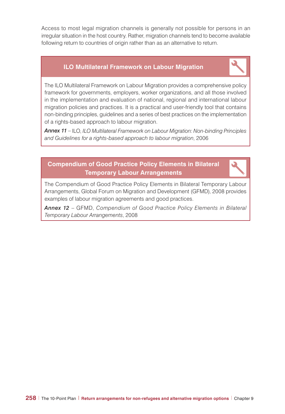Access to most legal migration channels is generally not possible for persons in an irregular situation in the host country. Rather, migration channels tend to become available following return to countries of origin rather than as an alternative to return.

# **ILO Multilateral Framework on Labour Migration**

The ILO Multilateral Framework on Labour Migration provides a comprehensive policy framework for governments, employers, worker organizations, and all those involved in the implementation and evaluation of national, regional and international labour migration policies and practices. It is a practical and user-friendly tool that contains non-binding principles, guidelines and a series of best practices on the implementation of a rights-based approach to labour migration.

*Annex 11* – ILO, *ILO Multilateral Framework on Labour Migration: Non-binding Principles and Guidelines for a rights-based approach to labour migration*, 2006

# **Compendium of Good Practice Policy Elements in Bilateral Temporary Labour Arrangements**

The Compendium of Good Practice Policy Elements in Bilateral Temporary Labour Arrangements, Global Forum on Migration and Development (GFMD), 2008 provides examples of labour migration agreements and good practices.

*Annex 12* – GFMD, *Compendium of Good Practice Policy Elements in Bilateral Temporary Labour Arrangements*, 2008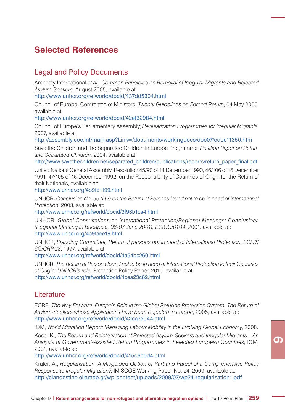# **Selected References**

# Legal and Policy Documents

Amnesty International *et al., Common Principles on Removal of Irregular Migrants and Rejected Asylum-Seekers*, August 2005, available at:

<http://www.unhcr.org/refworld/docid/437dd5304.html>

Council of Europe, Committee of Ministers, *Twenty Guidelines on Forced Return*, 04 May 2005, available at:

<http://www.unhcr.org/refworld/docid/42ef32984.html>

Council of Europe's Parliamentary Assembly, *Regularization Programmes for Irregular Migrants*, 2007, available at:

<http://assembly.coe.int/main.asp?Link=/documents/workingdocs/doc07/edoc11350.htm>

Save the Children and the Separated Children in Europe Programme, *Position Paper on Return and Separated Children*, 2004, available at:

[http://www.savethechildren.net/separated\\_children/publications/reports/return\\_paper\\_final.pdf](http://www.savethechildren.net/separated_children/publications/reports/return_paper_final.pdf)

United Nations General Assembly, Resolution 45/90 of 14 December 1990, 46/106 of 16 December 1991, 47/105 of 16 December 1992, on the Responsibility of Countries of Origin for the Return of their Nationals, available at:

<http://www.unhcr.org/4b9fb1199.html>

UNHCR, *Conclusion No. 96 (LIV) on the Return of Persons found not to be in need of International Protection*, 2003, available at:

<http://www.unhcr.org/refworld/docid/3f93b1ca4.html>

UNHCR, *Global Consultations on International Protection/Regional Meetings: Conclusions (Regional Meeting in Budapest, 06-07 June 2001), EC/GC/01/14*, 2001, available at: <http://www.unhcr.org/4b9faee19.html>

UNHCR, *Standing Committee, Return of persons not in need of International Protection, EC/47/ SC/CRP.28*, 1997, available at:

<http://www.unhcr.org/refworld/docid/4a54bc260.html>

UNHCR, *The Return of Persons found not to be in need of International Protection to their Countries of Origin: UNHCR's role*, Protection Policy Paper, 2010, available at: <http://www.unhcr.org/refworld/docid/4cea23c62.html>

# **Literature**

ECRE, *The Way Forward: Europe's Role in the Global Refugee Protection System. The Return of Asylum-Seekers whose Applications have been Rejected in Europe*, 2005, available at: <http://www.unhcr.org/refworld/docid/42ca7e044.html>

IOM, *World Migration Report: Managing Labour Mobility in the Evolving Global Economy*, 2008.

Koser K., *The Return and Reintegration of Rejected Asylum-Seekers and Irregular Migrants – An Analysis of Government-Assisted Return Programmes in Selected European Countries*, IOM, 2001, available at:

<http://www.unhcr.org/refworld/docid/415c6c0d4.html>

Kraler, A., *Regularisation: A Misguided Option or Part and Parcel of a Comprehensive Policy Response to Irregular Migration?*, IMISCOE Working Paper No. 24, 2009, available at: <http://clandestino.eliamep.gr/wp-content/uploads/2009/07/wp24-regularisation1.pdf>